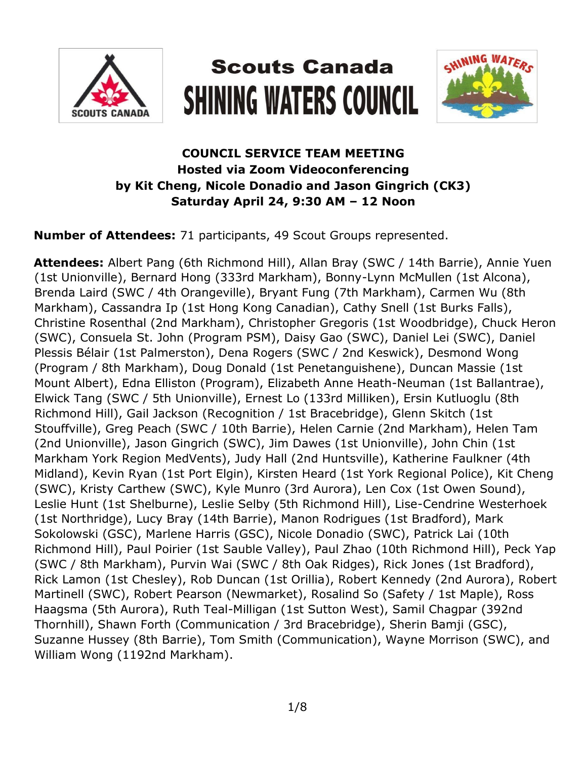

# **Scouts Canada SHINING WATERS COUNCIL**



# **COUNCIL SERVICE TEAM MEETING Hosted via Zoom Videoconferencing by Kit Cheng, Nicole Donadio and Jason Gingrich (CK3) Saturday April 24, 9:30 AM – 12 Noon**

**Number of Attendees:** 71 participants, 49 Scout Groups represented.

**Attendees:** Albert Pang (6th Richmond Hill), Allan Bray (SWC / 14th Barrie), Annie Yuen (1st Unionville), Bernard Hong (333rd Markham), Bonny-Lynn McMullen (1st Alcona), Brenda Laird (SWC / 4th Orangeville), Bryant Fung (7th Markham), Carmen Wu (8th Markham), Cassandra Ip (1st Hong Kong Canadian), Cathy Snell (1st Burks Falls), Christine Rosenthal (2nd Markham), Christopher Gregoris (1st Woodbridge), Chuck Heron (SWC), Consuela St. John (Program PSM), Daisy Gao (SWC), Daniel Lei (SWC), Daniel Plessis Bélair (1st Palmerston), Dena Rogers (SWC / 2nd Keswick), Desmond Wong (Program / 8th Markham), Doug Donald (1st Penetanguishene), Duncan Massie (1st Mount Albert), Edna Elliston (Program), Elizabeth Anne Heath-Neuman (1st Ballantrae), Elwick Tang (SWC / 5th Unionville), Ernest Lo (133rd Milliken), Ersin Kutluoglu (8th Richmond Hill), Gail Jackson (Recognition / 1st Bracebridge), Glenn Skitch (1st Stouffville), Greg Peach (SWC / 10th Barrie), Helen Carnie (2nd Markham), Helen Tam (2nd Unionville), Jason Gingrich (SWC), Jim Dawes (1st Unionville), John Chin (1st Markham York Region MedVents), Judy Hall (2nd Huntsville), Katherine Faulkner (4th Midland), Kevin Ryan (1st Port Elgin), Kirsten Heard (1st York Regional Police), Kit Cheng (SWC), Kristy Carthew (SWC), Kyle Munro (3rd Aurora), Len Cox (1st Owen Sound), Leslie Hunt (1st Shelburne), Leslie Selby (5th Richmond Hill), Lise-Cendrine Westerhoek (1st Northridge), Lucy Bray (14th Barrie), Manon Rodrigues (1st Bradford), Mark Sokolowski (GSC), Marlene Harris (GSC), Nicole Donadio (SWC), Patrick Lai (10th Richmond Hill), Paul Poirier (1st Sauble Valley), Paul Zhao (10th Richmond Hill), Peck Yap (SWC / 8th Markham), Purvin Wai (SWC / 8th Oak Ridges), Rick Jones (1st Bradford), Rick Lamon (1st Chesley), Rob Duncan (1st Orillia), Robert Kennedy (2nd Aurora), Robert Martinell (SWC), Robert Pearson (Newmarket), Rosalind So (Safety / 1st Maple), Ross Haagsma (5th Aurora), Ruth Teal-Milligan (1st Sutton West), Samil Chagpar (392nd Thornhill), Shawn Forth (Communication / 3rd Bracebridge), Sherin Bamji (GSC), Suzanne Hussey (8th Barrie), Tom Smith (Communication), Wayne Morrison (SWC), and William Wong (1192nd Markham).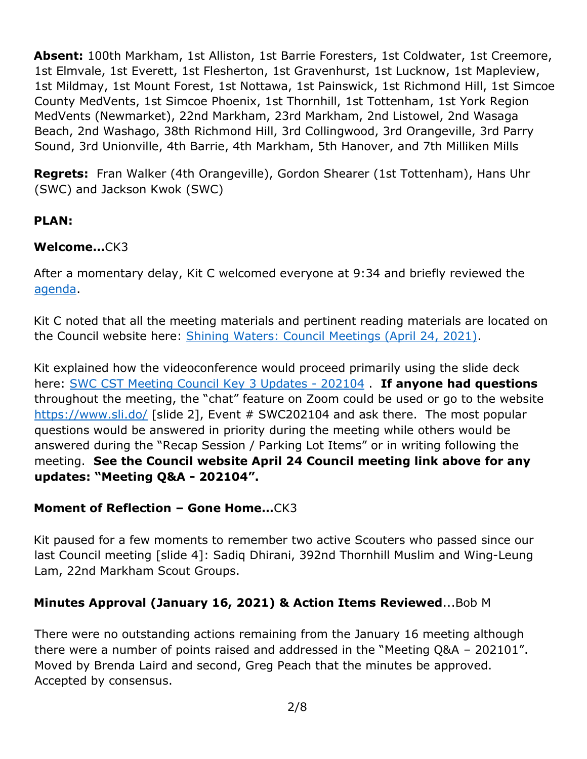**Absent:** 100th Markham, 1st Alliston, 1st Barrie Foresters, 1st Coldwater, 1st Creemore, 1st Elmvale, 1st Everett, 1st Flesherton, 1st Gravenhurst, 1st Lucknow, 1st Mapleview, 1st Mildmay, 1st Mount Forest, 1st Nottawa, 1st Painswick, 1st Richmond Hill, 1st Simcoe County MedVents, 1st Simcoe Phoenix, 1st Thornhill, 1st Tottenham, 1st York Region MedVents (Newmarket), 22nd Markham, 23rd Markham, 2nd Listowel, 2nd Wasaga Beach, 2nd Washago, 38th Richmond Hill, 3rd Collingwood, 3rd Orangeville, 3rd Parry Sound, 3rd Unionville, 4th Barrie, 4th Markham, 5th Hanover, and 7th Milliken Mills

**Regrets:** Fran Walker (4th Orangeville), Gordon Shearer (1st Tottenham), Hans Uhr (SWC) and Jackson Kwok (SWC)

# **PLAN:**

## **Welcome…**CK3

After a momentary delay, Kit C welcomed everyone at 9:34 and briefly reviewed the [agenda.](https://www.scouts.ca/assets/uploads/councils/shiningwaters/council_meetings/2021-04-24/SWC%20Council%20Service%20Team%20Meeting%20Agenda%20-%20202104.pdf)

Kit C noted that all the meeting materials and pertinent reading materials are located on the Council website here: [Shining Waters: Council Meetings \(April 24, 2021\).](https://www.scouts.ca/councils/central/shining-waters/council-meetings.html)

Kit explained how the videoconference would proceed primarily using the slide deck here: [SWC CST Meeting Council Key 3 Updates -](https://www.scouts.ca/assets/uploads/councils/shiningwaters/council_meetings/2021-04-24/SWC%20CST%20Meeting%20-%20April%2024,%202021.pdf) 202104 . **If anyone had questions** throughout the meeting, the "chat" feature on Zoom could be used or go to the website <https://www.sli.do/> [slide 2], Event # SWC202104 and ask there. The most popular questions would be answered in priority during the meeting while others would be answered during the "Recap Session / Parking Lot Items" or in writing following the meeting. **See the Council website April 24 Council meeting link above for any updates: "Meeting Q&A - 202104".**

## **Moment of Reflection – Gone Home…**CK3

Kit paused for a few moments to remember two active Scouters who passed since our last Council meeting [slide 4]: Sadiq Dhirani, 392nd Thornhill Muslim and Wing-Leung Lam, 22nd Markham Scout Groups.

## **Minutes Approval (January 16, 2021) & Action Items Reviewed**...Bob M

There were no outstanding actions remaining from the January 16 meeting although there were a number of points raised and addressed in the "Meeting Q&A – 202101". Moved by Brenda Laird and second, Greg Peach that the minutes be approved. Accepted by consensus.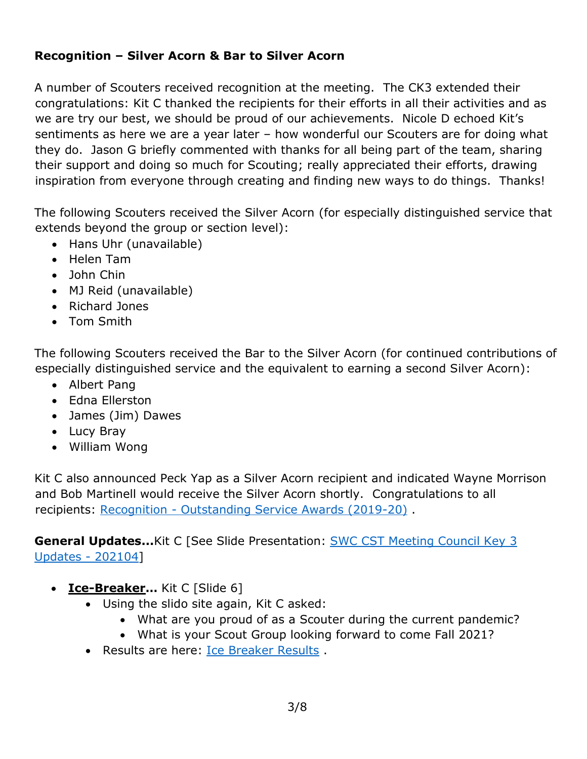## **Recognition – Silver Acorn & Bar to Silver Acorn**

A number of Scouters received recognition at the meeting. The CK3 extended their congratulations: Kit C thanked the recipients for their efforts in all their activities and as we are try our best, we should be proud of our achievements. Nicole D echoed Kit's sentiments as here we are a year later – how wonderful our Scouters are for doing what they do. Jason G briefly commented with thanks for all being part of the team, sharing their support and doing so much for Scouting; really appreciated their efforts, drawing inspiration from everyone through creating and finding new ways to do things. Thanks!

The following Scouters received the Silver Acorn (for especially distinguished service that extends beyond the group or section level):

- Hans Uhr (unavailable)
- Helen Tam
- John Chin
- MJ Reid (unavailable)
- Richard Jones
- Tom Smith

The following Scouters received the Bar to the Silver Acorn (for continued contributions of especially distinguished service and the equivalent to earning a second Silver Acorn):

- Albert Pang
- Edna Ellerston
- James (Jim) Dawes
- Lucy Bray
- William Wong

Kit C also announced Peck Yap as a Silver Acorn recipient and indicated Wayne Morrison and Bob Martinell would receive the Silver Acorn shortly. Congratulations to all recipients: Recognition - [Outstanding Service Awards \(2019-20\)](https://www.scouts.ca/councils/central/shining-waters/recognition/outstanding-service-awards.html) .

**General Updates...**Kit C [See Slide Presentation: [SWC CST Meeting Council Key 3](https://www.scouts.ca/assets/uploads/councils/shiningwaters/council_meetings/2021-04-24/SWC%20CST%20Meeting%20-%20April%2024,%202021.pdf)  [Updates -](https://www.scouts.ca/assets/uploads/councils/shiningwaters/council_meetings/2021-04-24/SWC%20CST%20Meeting%20-%20April%2024,%202021.pdf) 202104]

- **Ice-Breaker…** Kit C [Slide 6]
	- Using the slido site again, Kit C asked:
		- What are you proud of as a Scouter during the current pandemic?
		- What is your Scout Group looking forward to come Fall 2021?
	- Results are here: [Ice Breaker Results](https://www.scouts.ca/assets/uploads/councils/shiningwaters/council_meetings/2021-04-24/Ice%20Breaker%20Response%20-%20Apr%2024,%202021.pdf) .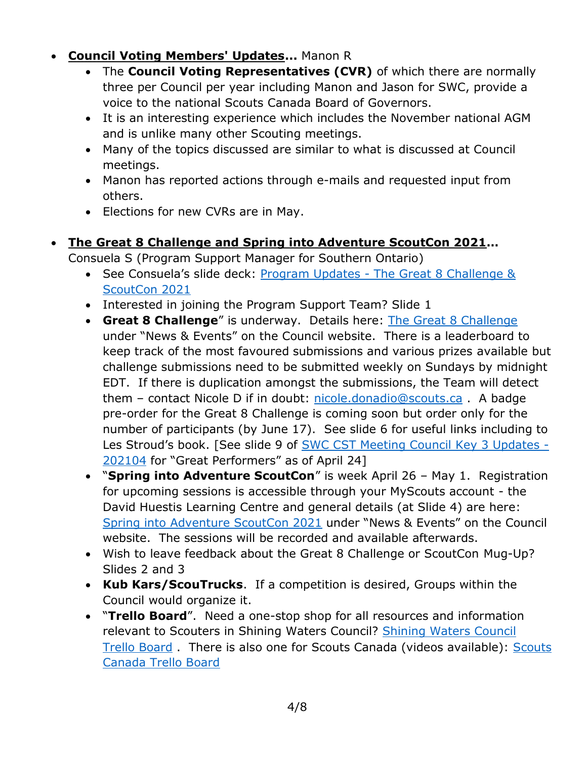- **Council Voting Members' Updates...** Manon R
	- The **Council Voting Representatives (CVR)** of which there are normally three per Council per year including Manon and Jason for SWC, provide a voice to the national Scouts Canada Board of Governors.
	- It is an interesting experience which includes the November national AGM and is unlike many other Scouting meetings.
	- Many of the topics discussed are similar to what is discussed at Council meetings.
	- Manon has reported actions through e-mails and requested input from others.
	- Elections for new CVRs are in May.

# **The Great 8 Challenge and Spring into Adventure ScoutCon 2021…**

Consuela S (Program Support Manager for Southern Ontario)

- See Consuela's slide deck: Program Updates The Great 8 Challenge & [ScoutCon 2021](https://www.scouts.ca/assets/uploads/councils/shiningwaters/council_meetings/2021-04-24/SWC%20CST%20Meeting%20-%20Program%20Updates%20Apr%2024,%202021.pdf)
- Interested in joining the Program Support Team? Slide 1
- **Great 8 Challenge**" is underway. Details here: [The Great 8 Challenge](https://www.scouts.ca/news-and-events/news/2021/04/scouts-canada-and-survivorman-les-stroud-launch-epic-youth-adventure-challenge) under "News & Events" on the Council website. There is a leaderboard to keep track of the most favoured submissions and various prizes available but challenge submissions need to be submitted weekly on Sundays by midnight EDT. If there is duplication amongst the submissions, the Team will detect them – contact Nicole D if in doubt: [nicole.donadio@scouts.ca](mailto:nicole.donadio@scouts.ca) . A badge pre-order for the Great 8 Challenge is coming soon but order only for the number of participants (by June 17). See slide 6 for useful links including to Les Stroud's book. [See slide 9 of [SWC CST Meeting Council Key 3 Updates -](https://www.scouts.ca/assets/uploads/councils/shiningwaters/council_meetings/2021-04-24/SWC%20CST%20Meeting%20-%20April%2024,%202021.pdf) [202104](https://www.scouts.ca/assets/uploads/councils/shiningwaters/council_meetings/2021-04-24/SWC%20CST%20Meeting%20-%20April%2024,%202021.pdf) for "Great Performers" as of April 24]
- "**Spring into Adventure ScoutCon**" is week April 26 May 1. Registration for upcoming sessions is accessible through your MyScouts account - the David Huestis Learning Centre and general details (at Slide 4) are here: [Spring into Adventure ScoutCon 2021](https://www.scouts.ca/news-and-events/news/2021/04/spring-into-adventure-scoutcon) under "News & Events" on the Council website. The sessions will be recorded and available afterwards.
- Wish to leave feedback about the Great 8 Challenge or ScoutCon Mug-Up? Slides 2 and 3
- **Kub Kars/ScouTrucks**. If a competition is desired, Groups within the Council would organize it.
- "**Trello Board**". Need a one-stop shop for all resources and information relevant to Scouters in Shining Waters Council? [Shining Waters Council](https://trello.com/b/hNeRrbZ2/swc-public-board)  [Trello Board](https://trello.com/b/hNeRrbZ2/swc-public-board) . There is also one for [Scouts](https://trello.com/scoutscanada2) Canada (videos available): Scouts [Canada Trello Board](https://trello.com/scoutscanada2)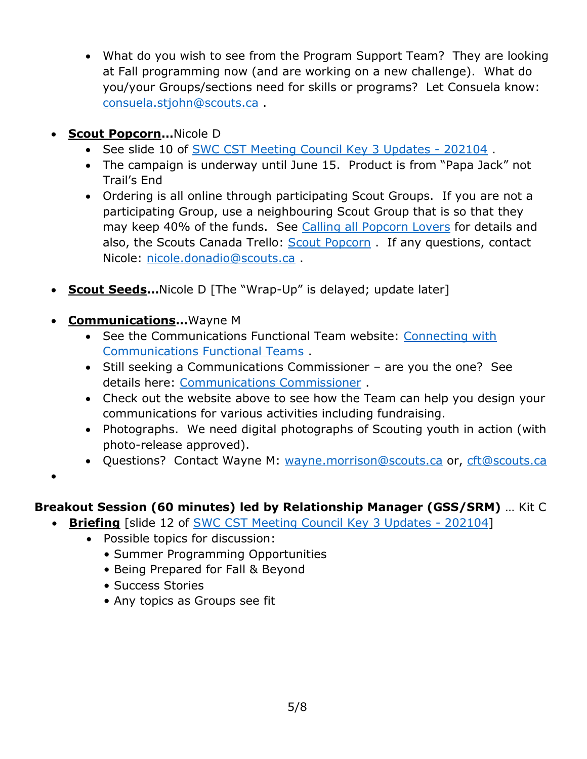- What do you wish to see from the Program Support Team? They are looking at Fall programming now (and are working on a new challenge). What do you/your Groups/sections need for skills or programs? Let Consuela know: [consuela.stjohn@scouts.ca](mailto:consuela.stjohn@scouts.ca) .
- **Scout Popcorn…**Nicole D
	- See slide 10 of [SWC CST Meeting Council Key 3 Updates -](https://www.scouts.ca/assets/uploads/councils/shiningwaters/council_meetings/2021-04-24/SWC%20CST%20Meeting%20-%20April%2024,%202021.pdf) 202104.
	- The campaign is underway until June 15. Product is from "Papa Jack" not Trail's End
	- Ordering is all online through participating Scout Groups. If you are not a participating Group, use a neighbouring Scout Group that is so that they may keep 40% of the funds. See [Calling all Popcorn Lovers](https://www.scouts.ca/news-and-events/news/2021/03/calling-all-popcorn-lovers-and-adventure-seekers) for details and also, the Scouts Canada Trello: [Scout Popcorn](https://trello.com/b/OL0JuXYu/fundraising) . If any questions, contact Nicole: [nicole.donadio@scouts.ca](mailto:nicole.donadio@scouts.ca) .
- **Scout Seeds...** Nicole D [The "Wrap-Up" is delayed; update later]
- **Communications...** Wayne M
	- See the Communications Functional Team website: Connecting with [Communications Functional Teams](https://www.scouts.ca/resources/functional-teams/communications-functional-team/) .
	- Still seeking a Communications Commissioner are you the one? See details here: [Communications Commissioner](https://www.scouts.ca/volunteer/volunteer-opportunities/communications-commissioner-cft.html) .
	- Check out the website above to see how the Team can help you design your communications for various activities including fundraising.
	- Photographs. We need digital photographs of Scouting youth in action (with photo-release approved).
	- Questions? Contact Wayne M: [wayne.morrison@scouts.ca](mailto:wayne.morrison@scouts.ca) or, [cft@scouts.ca](mailto:cft@scouts.ca)
- $\bullet$

# **Breakout Session (60 minutes) led by Relationship Manager (GSS/SRM)** … Kit C

- **Briefing** [slide 12 of [SWC CST Meeting Council Key 3 Updates -](https://www.scouts.ca/assets/uploads/councils/shiningwaters/council_meetings/2021-04-24/SWC%20CST%20Meeting%20-%20April%2024,%202021.pdf) 202104]
	- Possible topics for discussion:
		- Summer Programming Opportunities
		- Being Prepared for Fall & Beyond
		- Success Stories
		- Any topics as Groups see fit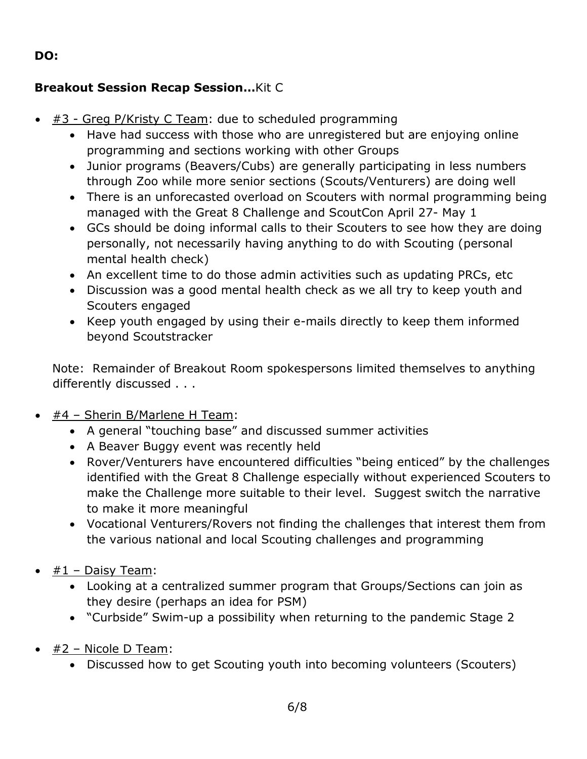## **DO:**

## **Breakout Session Recap Session…**Kit C

- #3 Greg P/Kristy C Team: due to scheduled programming
	- Have had success with those who are unregistered but are enjoying online programming and sections working with other Groups
	- Junior programs (Beavers/Cubs) are generally participating in less numbers through Zoo while more senior sections (Scouts/Venturers) are doing well
	- There is an unforecasted overload on Scouters with normal programming being managed with the Great 8 Challenge and ScoutCon April 27- May 1
	- GCs should be doing informal calls to their Scouters to see how they are doing personally, not necessarily having anything to do with Scouting (personal mental health check)
	- An excellent time to do those admin activities such as updating PRCs, etc
	- Discussion was a good mental health check as we all try to keep youth and Scouters engaged
	- Keep youth engaged by using their e-mails directly to keep them informed beyond Scoutstracker

Note: Remainder of Breakout Room spokespersons limited themselves to anything differently discussed . . .

- #4 Sherin B/Marlene H Team:
	- A general "touching base" and discussed summer activities
	- A Beaver Buggy event was recently held
	- Rover/Venturers have encountered difficulties "being enticed" by the challenges identified with the Great 8 Challenge especially without experienced Scouters to make the Challenge more suitable to their level. Suggest switch the narrative to make it more meaningful
	- Vocational Venturers/Rovers not finding the challenges that interest them from the various national and local Scouting challenges and programming
- $\bullet$  #1 Daisy Team:
	- Looking at a centralized summer program that Groups/Sections can join as they desire (perhaps an idea for PSM)
	- "Curbside" Swim-up a possibility when returning to the pandemic Stage 2
- #2 Nicole D Team:
	- Discussed how to get Scouting youth into becoming volunteers (Scouters)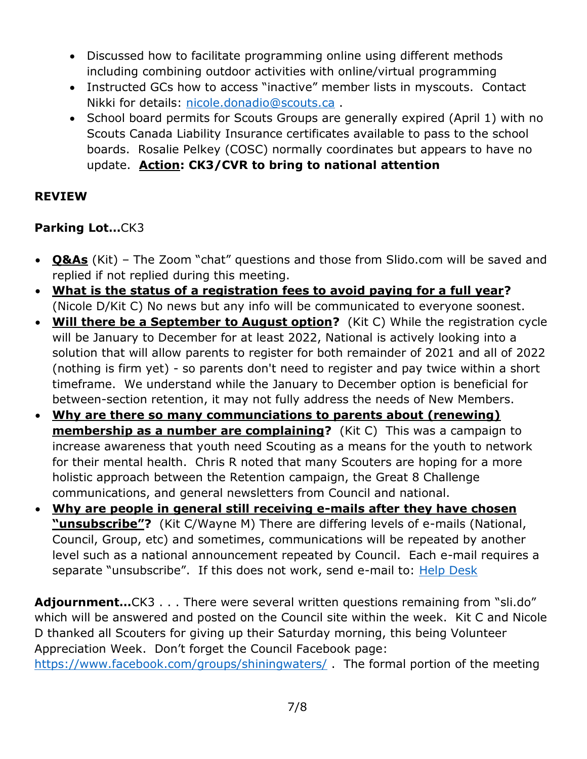- Discussed how to facilitate programming online using different methods including combining outdoor activities with online/virtual programming
- Instructed GCs how to access "inactive" member lists in myscouts. Contact Nikki for details: [nicole.donadio@scouts.ca](mailto:nicole.donadio@scouts.ca) .
- School board permits for Scouts Groups are generally expired (April 1) with no Scouts Canada Liability Insurance certificates available to pass to the school boards. Rosalie Pelkey (COSC) normally coordinates but appears to have no update. **Action: CK3/CVR to bring to national attention**

## **REVIEW**

# **Parking Lot…**CK3

- **Q&As** (Kit) The Zoom "chat" questions and those from Slido.com will be saved and replied if not replied during this meeting.
- **What is the status of a registration fees to avoid paying for a full year?**  (Nicole D/Kit C) No news but any info will be communicated to everyone soonest.
- **Will there be a September to August option?** (Kit C) While the registration cycle will be January to December for at least 2022, National is actively looking into a solution that will allow parents to register for both remainder of 2021 and all of 2022 (nothing is firm yet) - so parents don't need to register and pay twice within a short timeframe. We understand while the January to December option is beneficial for between-section retention, it may not fully address the needs of New Members.
- **Why are there so many communciations to parents about (renewing) membership as a number are complaining?** (Kit C) This was a campaign to increase awareness that youth need Scouting as a means for the youth to network for their mental health. Chris R noted that many Scouters are hoping for a more holistic approach between the Retention campaign, the Great 8 Challenge communications, and general newsletters from Council and national.
- **Why are people in general still receiving e-mails after they have chosen "unsubscribe"?** (Kit C/Wayne M) There are differing levels of e-mails (National, Council, Group, etc) and sometimes, communications will be repeated by another level such as a national announcement repeated by Council. Each e-mail requires a separate "unsubscribe". If this does not work, send e-mail to: [Help Desk](https://help.scouts.ca/hc/en-ca/requests/new)

**Adjournment…**CK3 . . . There were several written questions remaining from "sli.do" which will be answered and posted on the Council site within the week. Kit C and Nicole D thanked all Scouters for giving up their Saturday morning, this being Volunteer Appreciation Week. Don't forget the Council Facebook page:

<https://www.facebook.com/groups/shiningwaters/> . The formal portion of the meeting